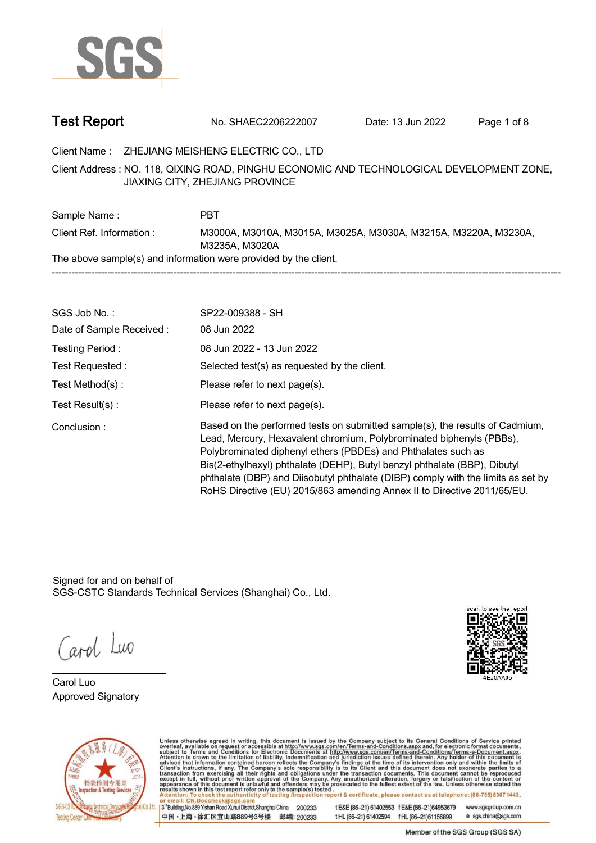

| <b>Test Report</b> | No. SHAEC2206222007 | Date: 13 Jun 2022 | Page 1 of 8 |  |
|--------------------|---------------------|-------------------|-------------|--|
|--------------------|---------------------|-------------------|-------------|--|

**Client Name : ZHEJIANG MEISHENG ELECTRIC CO., LTD .**

**NO. 118, QIXING ROAD, PINGHU ECONOMIC AND TECHNOLOGICAL DEVELOPMENT ZONE, . Client Address : JIAXING CITY, ZHEJIANG PROVINCE**

Sample Name : **PBT Client Ref. Information : . M3000A, M3010A, M3015A, M3025A, M3030A, M3215A, M3220A, M3230A, M3235A, M3020A. The above sample(s) and information were provided by the client. -----------------------------------------------------------------------------------------------------------------------------------------------------------**

| SGS Job No.:             | SP22-009388 - SH                                                                                                                                                                                                                                                                                                                                                                                                                                                  |
|--------------------------|-------------------------------------------------------------------------------------------------------------------------------------------------------------------------------------------------------------------------------------------------------------------------------------------------------------------------------------------------------------------------------------------------------------------------------------------------------------------|
| Date of Sample Received: | 08 Jun 2022                                                                                                                                                                                                                                                                                                                                                                                                                                                       |
| Testing Period:          | 08 Jun 2022 - 13 Jun 2022                                                                                                                                                                                                                                                                                                                                                                                                                                         |
| Test Requested:          | Selected test(s) as requested by the client.                                                                                                                                                                                                                                                                                                                                                                                                                      |
| Test Method(s):          | Please refer to next page(s).                                                                                                                                                                                                                                                                                                                                                                                                                                     |
| Test $Result(s)$ :       | Please refer to next page(s).                                                                                                                                                                                                                                                                                                                                                                                                                                     |
| Conclusion:              | Based on the performed tests on submitted sample(s), the results of Cadmium,<br>Lead, Mercury, Hexavalent chromium, Polybrominated biphenyls (PBBs),<br>Polybrominated diphenyl ethers (PBDEs) and Phthalates such as<br>Bis(2-ethylhexyl) phthalate (DEHP), Butyl benzyl phthalate (BBP), Dibutyl<br>phthalate (DBP) and Diisobutyl phthalate (DIBP) comply with the limits as set by<br>RoHS Directive (EU) 2015/863 amending Annex II to Directive 2011/65/EU. |

Signed for and on behalf of SGS-CSTC Standards Technical Services (Shanghai) Co., Ltd..

Carol Luo

**Carol Luo. Approved Signatory .**





Unless otherwise agreed in writing, this document is issued by the Company subject to its General Conditions of Service printed overleaf, available on request or accessible at http://www.sgs.com/en/Terms-and-Conditions.asp 13<sup>rd</sup> Building No.889 Yishan Road Xuhui District Shanghai China 200233 tE&E (86-21) 61402553 fE&E (86-21)64953679 www.sgsgroup.com.cn

中国·上海·徐汇区宜山路889号3号楼 邮编: 200233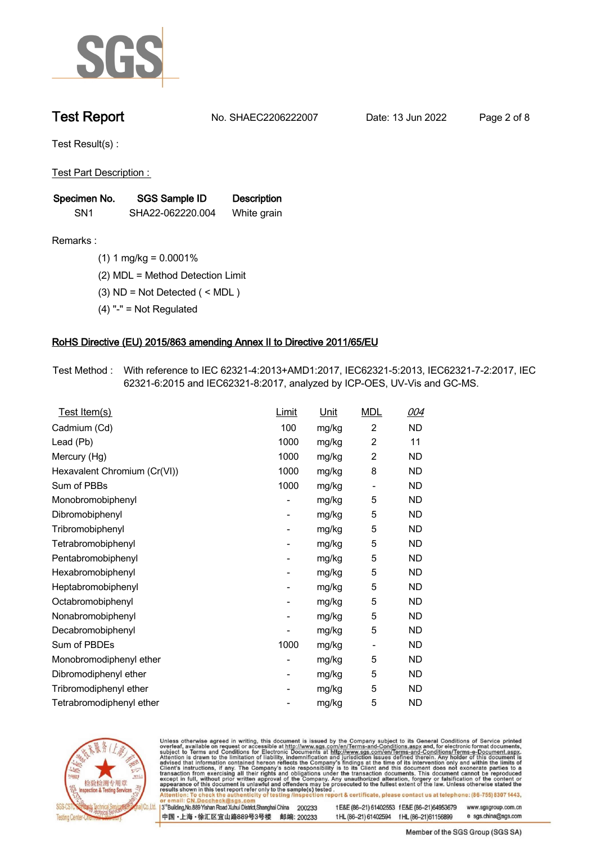

# **Test Report. No. SHAEC2206222007 . Date: 13 Jun 2022. Page 2 of 8.**

**Test Result(s) :.**

**Test Part Description : .**

| Specimen No.    | SGS Sample ID    | <b>Description</b> |  |
|-----------------|------------------|--------------------|--|
| SN <sub>1</sub> | SHA22-062220.004 | White grain        |  |

- **Remarks :.(1) 1 mg/kg = 0.0001% .**
	- **(2) MDL = Method Detection Limit .**
	- **(3) ND = Not Detected ( < MDL ) .**
	- **(4) "-" = Not Regulated .**

### **RoHS Directive (EU) 2015/863 amending Annex II to Directive 2011/65/EU.**

**Test Method :. With reference to IEC 62321-4:2013+AMD1:2017, IEC62321-5:2013, IEC62321-7-2:2017, IEC 62321-6:2015 and IEC62321-8:2017, analyzed by ICP-OES, UV-Vis and GC-MS. .**

| Test Item(s)                 | Limit | <u>Unit</u> | <b>MDL</b>               | 004       |
|------------------------------|-------|-------------|--------------------------|-----------|
| Cadmium (Cd)                 | 100   | mg/kg       | $\overline{2}$           | ND        |
| Lead (Pb)                    | 1000  | mg/kg       | $\overline{2}$           | 11        |
| Mercury (Hg)                 | 1000  | mg/kg       | $\overline{2}$           | <b>ND</b> |
| Hexavalent Chromium (Cr(VI)) | 1000  | mg/kg       | 8                        | <b>ND</b> |
| Sum of PBBs                  | 1000  | mg/kg       | $\overline{a}$           | ND.       |
| Monobromobiphenyl            |       | mg/kg       | 5                        | ND.       |
| Dibromobiphenyl              | -     | mg/kg       | 5                        | ND.       |
| Tribromobiphenyl             |       | mg/kg       | 5                        | ND.       |
| Tetrabromobiphenyl           | -     | mg/kg       | 5                        | ND        |
| Pentabromobiphenyl           |       | mg/kg       | 5                        | <b>ND</b> |
| Hexabromobiphenyl            | -     | mg/kg       | 5                        | ND.       |
| Heptabromobiphenyl           |       | mg/kg       | 5                        | <b>ND</b> |
| Octabromobiphenyl            | -     | mg/kg       | 5                        | ND        |
| Nonabromobiphenyl            |       | mg/kg       | 5                        | ND.       |
| Decabromobiphenyl            |       | mg/kg       | 5                        | ND        |
| Sum of PBDEs                 | 1000  | mg/kg       | $\overline{\phantom{a}}$ | ND.       |
| Monobromodiphenyl ether      |       | mg/kg       | 5                        | ND        |
| Dibromodiphenyl ether        | -     | mg/kg       | 5                        | ND.       |
| Tribromodiphenyl ether       | -     | mg/kg       | 5                        | <b>ND</b> |
| Tetrabromodiphenyl ether     |       | mg/kg       | 5                        | <b>ND</b> |



Unless otherwise agreed in writing, this document is issued by the Company subject to its General Conditions of Service printed overleaf, available on request or accessible at http://www.sgs.com/en/Terms-and-Conditions.asp

3<sup>rd</sup> Building, No.889 Yishan Road Xuhui District, Shanghai China 200233 中国·上海·徐汇区宜山路889号3号楼 邮编: 200233 tE&E (86-21) 61402553 fE&E (86-21)64953679 www.sgsgroup.com.cn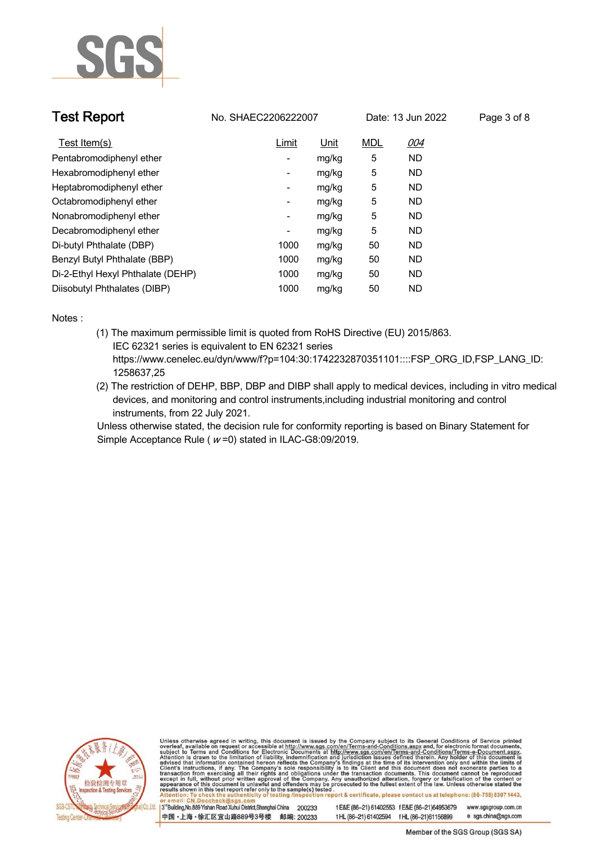

| <b>Test Report</b>                | No. SHAEC2206222007<br>Date: 13 Jun 2022 |       |            | Page 3 of 8 |  |
|-----------------------------------|------------------------------------------|-------|------------|-------------|--|
| Test Item(s)                      | <b>Limit</b>                             | Unit  | <b>MDL</b> | 004         |  |
| Pentabromodiphenyl ether          | -                                        | mg/kg | 5          | <b>ND</b>   |  |
| Hexabromodiphenyl ether           | $\overline{\phantom{a}}$                 | mg/kg | 5          | <b>ND</b>   |  |
| Heptabromodiphenyl ether          | -                                        | mg/kg | 5          | <b>ND</b>   |  |
| Octabromodiphenyl ether           | -                                        | mg/kg | 5          | <b>ND</b>   |  |
| Nonabromodiphenyl ether           | $\overline{\phantom{a}}$                 | mg/kg | 5          | <b>ND</b>   |  |
| Decabromodiphenyl ether           | $\overline{\phantom{a}}$                 | mg/kg | 5          | ND.         |  |
| Di-butyl Phthalate (DBP)          | 1000                                     | mg/kg | 50         | <b>ND</b>   |  |
| Benzyl Butyl Phthalate (BBP)      | 1000                                     | mg/kg | 50         | <b>ND</b>   |  |
| Di-2-Ethyl Hexyl Phthalate (DEHP) | 1000                                     | mg/kg | 50         | <b>ND</b>   |  |
| Diisobutyl Phthalates (DIBP)      | 1000                                     | mg/kg | 50         | ND.         |  |

**Notes :.**

- **(1) The maximum permissible limit is quoted from RoHS Directive (EU) 2015/863. IEC 62321 series is equivalent to EN 62321 series https://www.cenelec.eu/dyn/www/f?p=104:30:1742232870351101::::FSP\_ORG\_ID,FSP\_LANG\_ID: 1258637,25**
- **(2) The restriction of DEHP, BBP, DBP and DIBP shall apply to medical devices, including in vitro medical devices, and monitoring and control instruments,including industrial monitoring and control instruments, from 22 July 2021. .**

**Unless otherwise stated, the decision rule for conformity reporting is based on Binary Statement for Simple Acceptance Rule ( <sup>w</sup> =0) stated in ILAC-G8:09/2019. .**



Unless otherwise agreed in writing, this document is issued by the Company subject to its General Conditions of Service printed overleaf, available on request or accessible at http://www.sgs.com/en/Terms-and-Conditions.asp

3<sup>14</sup> Building, No.889 Yishan Road Xuhui District, Shanghai China 200233 中国·上海·徐汇区宜山路889号3号楼 邮编: 200233 tE&E (86-21) 61402553 fE&E (86-21)64953679 www.sgsgroup.com.cn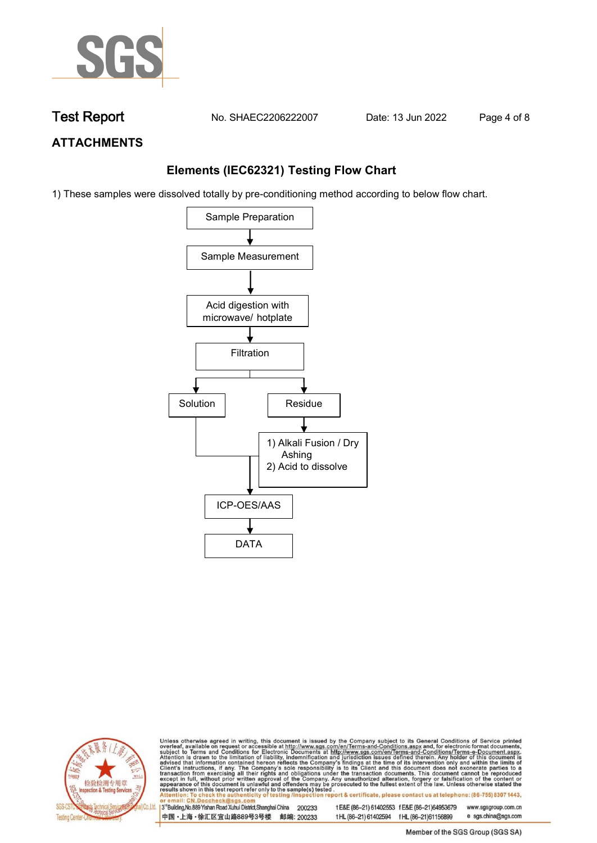

**Test Report. No. SHAEC2206222007 . Date: 13 Jun 2022. Page 4 of 8.**

# **ATTACHMENTS**

## **Elements (IEC62321) Testing Flow Chart**

1) These samples were dissolved totally by pre-conditioning method according to below flow chart.





Unless otherwise agreed in writing, this document is issued by the Company subject to its General Conditions of Service printed overleaf, available on request or accessible at http://www.sgs.com/en/Terms-and-Conditions.asp

3<sup>rd</sup> Building, No.889 Yishan Road Xuhui District, Shanghai China 200233 中国·上海·徐汇区宜山路889号3号楼 邮编: 200233 tE&E (86-21) 61402553 fE&E (86-21)64953679 www.sgsgroup.com.cn e sgs.china@sgs.com t HL (86-21) 61402594 f HL (86-21) 61156899

Member of the SGS Group (SGS SA)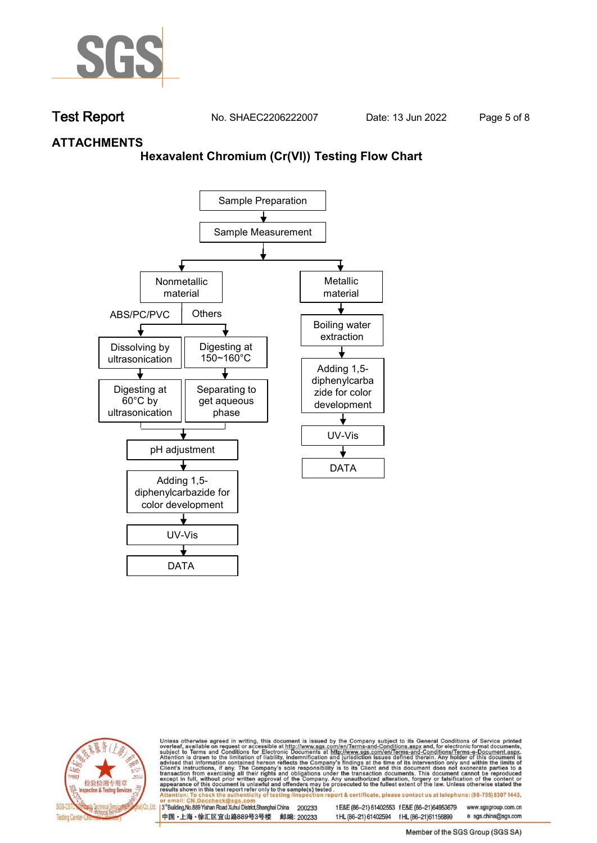

**Test Report. No. SHAEC2206222007 . Date: 13 Jun 2022. Page 5 of 8.**

### **ATTACHMENTS**

### **Hexavalent Chromium (Cr(VI)) Testing Flow Chart**





Unless otherwise agreed in writing, this document is issued by the Company subject to its General Conditions of Service printed overleaf, available on request or accessible at http://www.sgs.com/en/Terms-and-Conditions.asp

3<sup>rd</sup> Building, No.889 Yishan Road Xuhui District, Shanghai China 200233 中国·上海·徐汇区宜山路889号3号楼 邮编: 200233 tE&E (86-21) 61402553 fE&E (86-21)64953679 www.sgsgroup.com.cn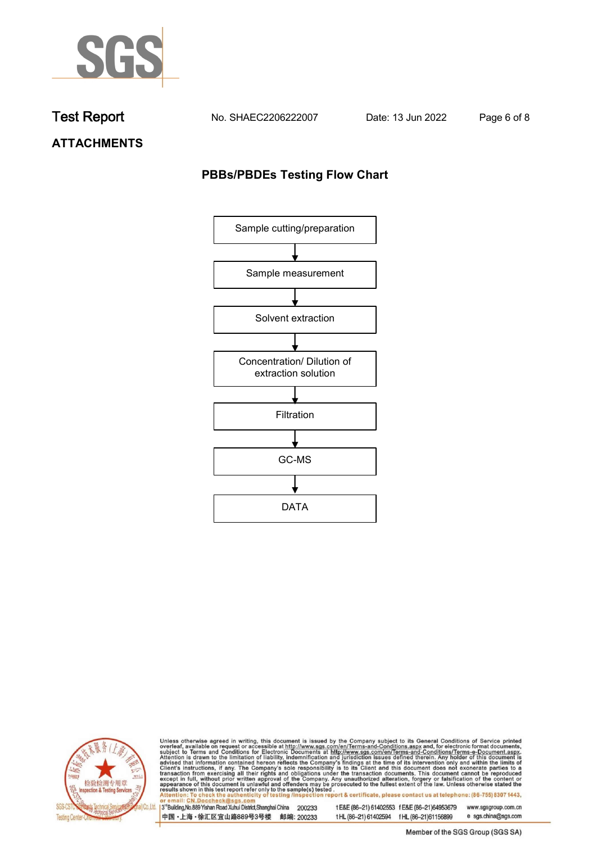

**Test Report. No. SHAEC2206222007 . Date: 13 Jun 2022. Page 6 of 8.**

**ATTACHMENTS**

# **PBBs/PBDEs Testing Flow Chart**





Unless otherwise agreed in writing, this document is issued by the Company subject to its General Conditions of Service printed overleaf, available on request or accessible at http://www.sgs.com/en/Terms-and-Conditions.asp

3<sup>'</sup>Building, No.889 Yishan Road Xuhui District, Shanghai China 200233 中国·上海·徐汇区宜山路889号3号楼 邮编: 200233

tE&E (86-21) 61402553 fE&E (86-21)64953679 www.sgsgroup.com.cn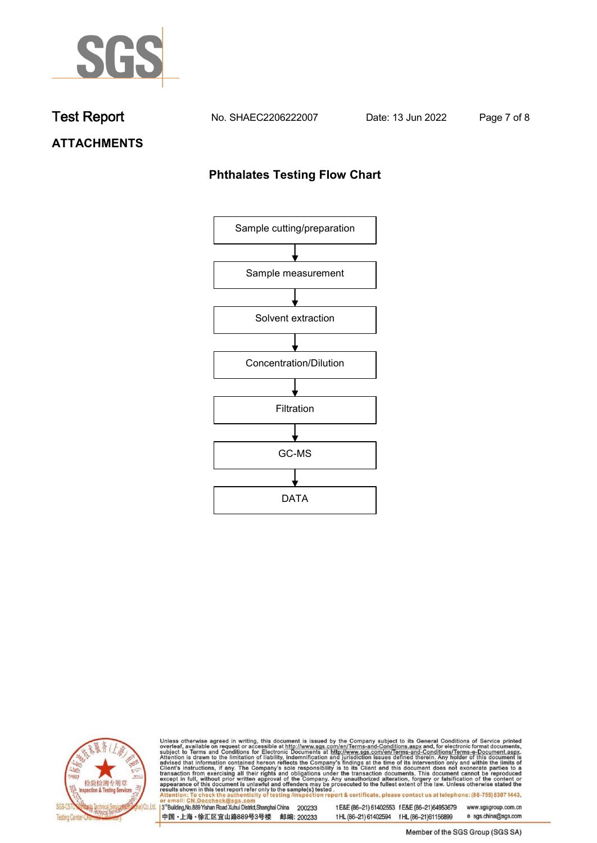

**Test Report. No. SHAEC2206222007 . Date: 13 Jun 2022. Page 7 of 8.**

# **ATTACHMENTS**

# **Phthalates Testing Flow Chart**





Unless otherwise agreed in writing, this document is issued by the Company subject to its General Conditions of Service printed overleaf, available on request or accessible at http://www.sgs.com/en/Terms-and-Conditions.asp

3<sup>'</sup>Building, No.889 Yishan Road Xuhui District, Shanghai China 200233 中国·上海·徐汇区宜山路889号3号楼 邮编: 200233

tE&E (86-21) 61402553 fE&E (86-21)64953679 www.sgsgroup.com.cn

e sgs.china@sgs.com t HL (86-21) 61402594 f HL (86-21) 61156899